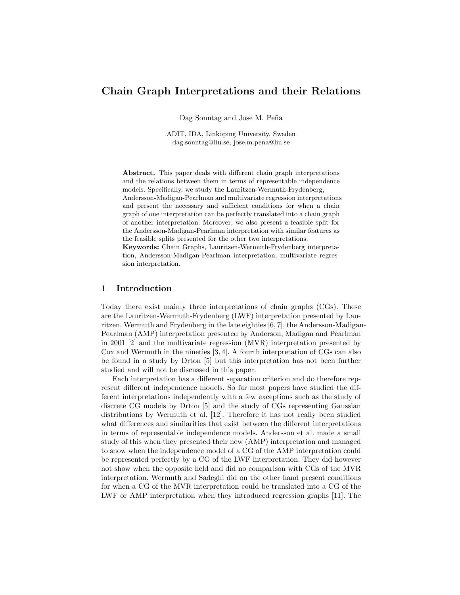# Chain Graph Interpretations and their Relations

Dag Sonntag and Jose M. Peña

ADIT, IDA, Linköping University, Sweden dag.sonntag@liu.se, jose.m.pena@liu.se

Abstract. This paper deals with different chain graph interpretations and the relations between them in terms of representable independence models. Specifically, we study the Lauritzen-Wermuth-Frydenberg, Andersson-Madigan-Pearlman and multivariate regression interpretations and present the necessary and sufficient conditions for when a chain graph of one interpretation can be perfectly translated into a chain graph of another interpretation. Moreover, we also present a feasible split for the Andersson-Madigan-Pearlman interpretation with similar features as the feasible splits presented for the other two interpretations. Keywords: Chain Graphs, Lauritzen-Wermuth-Frydenberg interpretation, Andersson-Madigan-Pearlman interpretation, multivariate regression interpretation.

## 1 Introduction

Today there exist mainly three interpretations of chain graphs (CGs). These are the Lauritzen-Wermuth-Frydenberg (LWF) interpretation presented by Lauritzen, Wermuth and Frydenberg in the late eighties [6, 7], the Andersson-Madigan-Pearlman (AMP) interpretation presented by Anderson, Madigan and Pearlman in 2001 [2] and the multivariate regression (MVR) interpretation presented by Cox and Wermuth in the nineties [3, 4]. A fourth interpretation of CGs can also be found in a study by Drton [5] but this interpretation has not been further studied and will not be discussed in this paper.

Each interpretation has a different separation criterion and do therefore represent different independence models. So far most papers have studied the different interpretations independently with a few exceptions such as the study of discrete CG models by Drton [5] and the study of CGs representing Gaussian distributions by Wermuth et al. [12]. Therefore it has not really been studied what differences and similarities that exist between the different interpretations in terms of representable independence models. Andersson et al. made a small study of this when they presented their new (AMP) interpretation and managed to show when the independence model of a CG of the AMP interpretation could be represented perfectly by a CG of the LWF interpretation. They did however not show when the opposite held and did no comparison with CGs of the MVR interpretation. Wermuth and Sadeghi did on the other hand present conditions for when a CG of the MVR interpretation could be translated into a CG of the LWF or AMP interpretation when they introduced regression graphs [11]. The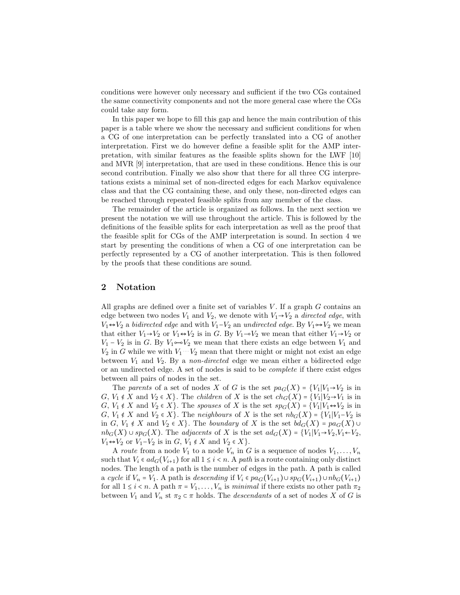conditions were however only necessary and sufficient if the two CGs contained the same connectivity components and not the more general case where the CGs could take any form.

In this paper we hope to fill this gap and hence the main contribution of this paper is a table where we show the necessary and sufficient conditions for when a CG of one interpretation can be perfectly translated into a CG of another interpretation. First we do however define a feasible split for the AMP interpretation, with similar features as the feasible splits shown for the LWF [10] and MVR [9] interpretation, that are used in these conditions. Hence this is our second contribution. Finally we also show that there for all three CG interpretations exists a minimal set of non-directed edges for each Markov equivalence class and that the CG containing these, and only these, non-directed edges can be reached through repeated feasible splits from any member of the class.

The remainder of the article is organized as follows. In the next section we present the notation we will use throughout the article. This is followed by the definitions of the feasible splits for each interpretation as well as the proof that the feasible split for CGs of the AMP interpretation is sound. In section 4 we start by presenting the conditions of when a CG of one interpretation can be perfectly represented by a CG of another interpretation. This is then followed by the proofs that these conditions are sound.

# 2 Notation

All graphs are defined over a finite set of variables  $V$ . If a graph  $G$  contains an edge between two nodes  $V_1$  and  $V_2$ , we denote with  $V_1 \rightarrow V_2$  a *directed edge*, with  $V_1 \leftrightarrow V_2$  a bidirected edge and with  $V_1 - V_2$  an undirected edge. By  $V_1 \leftrightarrow V_2$  we mean that either  $V_1 \rightarrow V_2$  or  $V_1 \leftrightarrow V_2$  is in G. By  $V_1 \rightarrow V_2$  we mean that either  $V_1 \rightarrow V_2$  or  $V_1 - V_2$  is in G. By  $V_1 \sim V_2$  we mean that there exists an edge between  $V_1$  and  $V_2$  in G while we with  $V_1 \cdots V_2$  mean that there might or might not exist an edge between  $V_1$  and  $V_2$ . By a non-directed edge we mean either a bidirected edge or an undirected edge. A set of nodes is said to be complete if there exist edges between all pairs of nodes in the set.

The parents of a set of nodes X of G is the set  $pa_G(X) = \{V_1 | V_1 \rightarrow V_2 \text{ is in }$ G,  $V_1 \notin X$  and  $V_2 \in X$ . The *children* of X is the set  $ch_G(X) = \{V_1 | V_2 \rightarrow V_1 \text{ is in } X\}$ G,  $V_1 \notin X$  and  $V_2 \in X$ . The spouses of X is the set  $sp_G(X) = \{V_1 | V_1 \leftrightarrow V_2 \text{ is in } \mathbb{R}\}$ G,  $V_1 \notin X$  and  $V_2 \in X$ . The neighbours of X is the set  $nb_G(X) = \{V_1 | V_1 - V_2 \}$  is in G,  $V_1 \notin X$  and  $V_2 \in X$ . The *boundary* of X is the set  $bd_G(X) = pa_G(X) \cup$  $nb_G(X) \cup sp_G(X)$ . The *adjacents* of X is the set  $ad_G(X) = \{V_1 | V_1 \rightarrow V_2, V_1 \leftarrow V_2, V_2 \rightarrow V_1 \}$  $V_1 \leftrightarrow V_2$  or  $V_1 - V_2$  is in  $G, V_1 \notin X$  and  $V_2 \in X$ .

A route from a node  $V_1$  to a node  $V_n$  in G is a sequence of nodes  $V_1, \ldots, V_n$ such that  $V_i \in ad_G(V_{i+1})$  for all  $1 \leq i \leq n$ . A path is a route containing only distinct nodes. The length of a path is the number of edges in the path. A path is called a cycle if  $V_n = V_1$ . A path is descending if  $V_i \in pa_G(V_{i+1}) \cup sp_G(V_{i+1}) \cup nb_G(V_{i+1})$ for all  $1 \leq i \leq n$ . A path  $\pi = V_1, \ldots, V_n$  is minimal if there exists no other path  $\pi_2$ between  $V_1$  and  $V_n$  st  $\pi_2 \subset \pi$  holds. The *descendants* of a set of nodes X of G is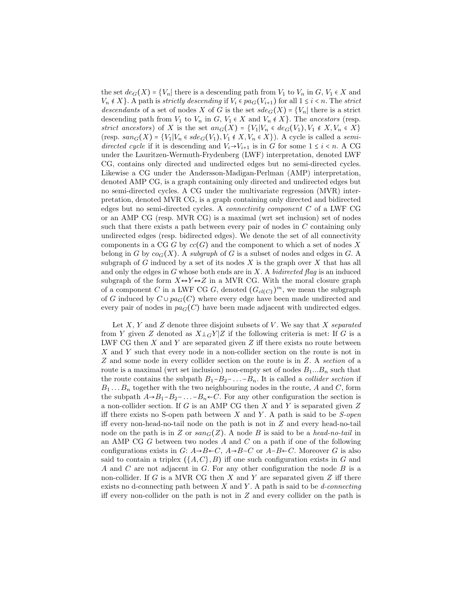the set  $de_G(X) = \{V_n |$  there is a descending path from  $V_1$  to  $V_n$  in  $G, V_1 \in X$  and  $V_n \notin X$ . A path is strictly descending if  $V_i \in pa_G(V_{i+1})$  for all  $1 \leq i < n$ . The strict descendants of a set of nodes X of G is the set  $sdeg(X) = \{V_n |$  there is a strict descending path from  $V_1$  to  $V_n$  in  $G, V_1 \in X$  and  $V_n \notin X$ . The ancestors (resp. strict ancestors) of X is the set  $an_G(X) = \{V_1 | V_n \in de_G(V_1), V_1 \notin X, V_n \in X\}$ (resp.  $s a n_G(X) = {V_1 | V_n \in \mathit{sdeg}(V_1), V_1 \notin X, V_n \in X}$ ). A cycle is called a semidirected cycle if it is descending and  $V_i \rightarrow V_{i+1}$  is in G for some  $1 \leq i \leq n$ . A CG under the Lauritzen-Wermuth-Frydenberg (LWF) interpretation, denoted LWF CG, contains only directed and undirected edges but no semi-directed cycles. Likewise a CG under the Andersson-Madigan-Perlman (AMP) interpretation, denoted AMP CG, is a graph containing only directed and undirected edges but no semi-directed cycles. A CG under the multivariate regression (MVR) interpretation, denoted MVR CG, is a graph containing only directed and bidirected edges but no semi-directed cycles. A connectivity component C of a LWF CG or an AMP CG (resp. MVR CG) is a maximal (wrt set inclusion) set of nodes such that there exists a path between every pair of nodes in C containing only undirected edges (resp. bidirected edges). We denote the set of all connectivity components in a CG G by  $cc(G)$  and the component to which a set of nodes X belong in G by  $co_G(X)$ . A subgraph of G is a subset of nodes and edges in G. A subgraph of G induced by a set of its nodes  $X$  is the graph over  $X$  that has all and only the edges in G whose both ends are in  $X$ . A *bidirected flag* is an induced subgraph of the form  $X \leftrightarrow Y \leftrightarrow Z$  in a MVR CG. With the moral closure graph of a component C in a LWF CG G, denoted  $(G_{cl(C)})^m$ , we mean the subgraph of G induced by  $C \cup pa_G(C)$  where every edge have been made undirected and every pair of nodes in  $pa_G(C)$  have been made adjacent with undirected edges.

Let  $X, Y$  and  $Z$  denote three disjoint subsets of  $V$ . We say that  $X$  separated from Y given Z denoted as  $X\perp_G Y|Z$  if the following criteria is met: If G is a LWF CG then  $X$  and  $Y$  are separated given  $Z$  iff there exists no route between X and Y such that every node in a non-collider section on the route is not in Z and some node in every collider section on the route is in Z. A section of a route is a maximal (wrt set inclusion) non-empty set of nodes  $B_1...B_n$  such that the route contains the subpath  $B_1-B_2-...-B_n$ . It is called a *collider section* if  $B_1 \ldots B_n$  together with the two neighbouring nodes in the route, A and C, form the subpath  $A\rightarrow B_1-B_2-\ldots-B_n\leftarrow C$ . For any other configuration the section is a non-collider section. If  $G$  is an AMP CG then  $X$  and  $Y$  is separated given  $Z$ iff there exists no S-open path between  $X$  and  $Y$ . A path is said to be S-open iff every non-head-no-tail node on the path is not in Z and every head-no-tail node on the path is in Z or  $san_G(Z)$ . A node B is said to be a head-no-tail in an AMP CG  $G$  between two nodes  $A$  and  $C$  on a path if one of the following configurations exists in  $G: A \rightarrow B \leftarrow C$ ,  $A \rightarrow B \leftarrow C$  or  $A-B \leftarrow C$ . Moreover G is also said to contain a triplex  $({A, C}, B)$  iff one such configuration exists in G and A and C are not adjacent in G. For any other configuration the node  $B$  is a non-collider. If G is a MVR CG then X and Y are separated given Z iff there exists no d-connecting path between  $X$  and  $Y$ . A path is said to be *d-connecting* iff every non-collider on the path is not in  $Z$  and every collider on the path is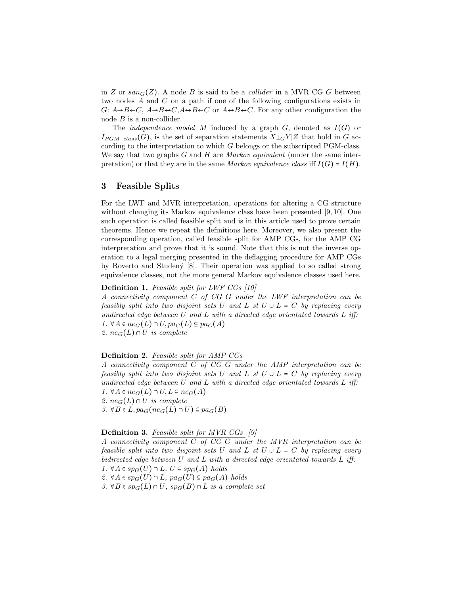in Z or  $san_G(Z)$ . A node B is said to be a *collider* in a MVR CG G between two nodes A and C on a path if one of the following configurations exists in G:  $A\rightarrow B\leftarrow C$ ,  $A\rightarrow B\leftarrow C$ ,  $A\leftrightarrow B\leftarrow C$  or  $A\leftrightarrow B\leftrightarrow C$ . For any other configuration the node  $B$  is a non-collider.

The *independence model M* induced by a graph  $G$ , denoted as  $I(G)$  or  $I_{PGM-class}(G)$ , is the set of separation statements  $X\bot GY|Z$  that hold in G according to the interpretation to which G belongs or the subscripted PGM-class. We say that two graphs  $G$  and  $H$  are Markov equivalent (under the same interpretation) or that they are in the same Markov equivalence class iff  $I(G) = I(H)$ .

# 3 Feasible Splits

For the LWF and MVR interpretation, operations for altering a CG structure without changing its Markov equivalence class have been presented [9, 10]. One such operation is called feasible split and is in this article used to prove certain theorems. Hence we repeat the definitions here. Moreover, we also present the corresponding operation, called feasible split for AMP CGs, for the AMP CG interpretation and prove that it is sound. Note that this is not the inverse operation to a legal merging presented in the deflagging procedure for AMP CGs by Roverto and Studen´y [8]. Their operation was applied to so called strong equivalence classes, not the more general Markov equivalence classes used here.

Definition 1. Feasible split for LWF CGs [10]

A connectivity component  $C$  of  $CG$   $G$  under the LWF interpretation can be feasibly split into two disjoint sets U and L st  $U \cup L = C$  by replacing every undirected edge between U and L with a directed edge orientated towards L iff: 1.  $\forall A \in ne_G(L) \cap U$ ,  $pa_G(L) \subseteq pa_G(A)$ 2.  $ne_G(L) \cap U$  is complete

## Definition 2. Feasible split for AMP CGs

A connectivity component  $C$  of  $CG$   $G$  under the AMP interpretation can be feasibly split into two disjoint sets U and L st  $U \cup L = C$  by replacing every undirected edge between U and L with a directed edge orientated towards L iff: 1.  $\forall A \in ne_G(L) \cap U, L \subseteq ne_G(A)$ 2.  $ne_G(L) \cap U$  is complete 3.  $\forall B \in L$ ,  $pa_G(ne_G(L) \cap U) \subseteq pa_G(B)$ 

## Definition 3. Feasible split for MVR CGs [9]

A connectivity component C of CG G under the MVR interpretation can be feasible split into two disjoint sets U and L st  $U \cup L = C$  by replacing every bidirected edge between U and L with a directed edge orientated towards L iff: 1. ∀A  $\in sp_G(U) \cap L$ ,  $U \subseteq sp_G(A)$  holds 2.  $\forall A \in sp_G(U) \cap L$ ,  $pa_G(U) \subseteq pa_G(A)$  holds

3. ∀B  $\in sp_G(L) \cap U$ ,  $sp_G(B) \cap L$  is a complete set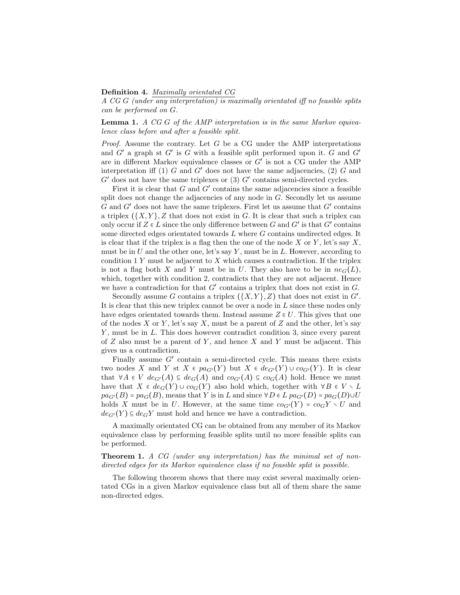#### Definition 4. Maximally orientated CG

A CG G (under any interpretation) is maximally orientated iff no feasible splits can be performed on G.

Lemma 1. A CG G of the AMP interpretation is in the same Markov equivalence class before and after a feasible split.

*Proof.* Assume the contrary. Let  $G$  be a CG under the AMP interpretations and  $G'$  a graph st  $G'$  is  $G$  with a feasible split performed upon it.  $G$  and  $G'$ are in different Markov equivalence classes or G′ is not a CG under the AMP interpretation iff  $(1)$  G and G' does not have the same adjacencies,  $(2)$  G and  $G'$  does not have the same triplexes or (3)  $G'$  contains semi-directed cycles.

First it is clear that  $G$  and  $G'$  contains the same adjacencies since a feasible split does not change the adjacencies of any node in  $G$ . Secondly let us assume  $G$  and  $G'$  does not have the same triplexes. First let us assume that  $G'$  contains a triplex  $({X, Y}, Z$  that does not exist in G. It is clear that such a triplex can only occur if  $Z \in L$  since the only difference between G and G' is that G' contains some directed edges orientated towards L where G contains undirected edges. It is clear that if the triplex is a flag then the one of the node  $X$  or  $Y$ , let's say  $X$ , must be in  $U$  and the other one, let's say  $Y$ , must be in  $L$ . However, according to condition  $1 Y$  must be adjacent to  $X$  which causes a contradiction. If the triplex is not a flag both X and Y must be in U. They also have to be in  $ne_G(L)$ , which, together with condition 2, contradicts that they are not adjacent. Hence we have a contradiction for that  $G'$  contains a triplex that does not exist in  $G$ .

Secondly assume G contains a triplex  $(\{X,Y\},\mathbb{Z})$  that does not exist in  $G'$ . It is clear that this new triplex cannot be over a node in L since these nodes only have edges orientated towards them. Instead assume  $Z \in U$ . This gives that one of the nodes X or Y, let's say X, must be a parent of Z and the other, let's say Y, must be in L. This does however contradict condition 3, since every parent of  $Z$  also must be a parent of  $Y$ , and hence  $X$  and  $Y$  must be adjacent. This gives us a contradiction.

Finally assume  $G'$  contain a semi-directed cycle. This means there exists two nodes X and Y st  $X \in pa_{G'}(Y)$  but  $X \in de_{G'}(Y) \cup co_{G'}(Y)$ . It is clear that  $\forall A \in V \text{ deg}(A) \subseteq \text{deg}(A)$  and  $\text{co}_{G'}(A) \subseteq \text{co}_G(A)$  hold. Hence we must have that  $X \in deg(Y) \cup co_G(Y)$  also hold which, together with  $\forall B \in V \setminus L$  $pa_{G'}(B) = pa_G(B)$ , means that Y is in L and since  $\forall D \in L$   $pa_{G'}(D) = pa_G(D) \cup U$ holds X must be in U. However, at the same time  $co_{G'}(Y) = co_{G}Y \setminus U$  and  $de_{G'}(Y) \subseteq de_GY$  must hold and hence we have a contradiction.

A maximally orientated CG can be obtained from any member of its Markov equivalence class by performing feasible splits until no more feasible splits can be performed.

Theorem 1. A CG (under any interpretation) has the minimal set of nondirected edges for its Markov equivalence class if no feasible split is possible.

The following theorem shows that there may exist several maximally orientated CGs in a given Markov equivalence class but all of them share the same non-directed edges.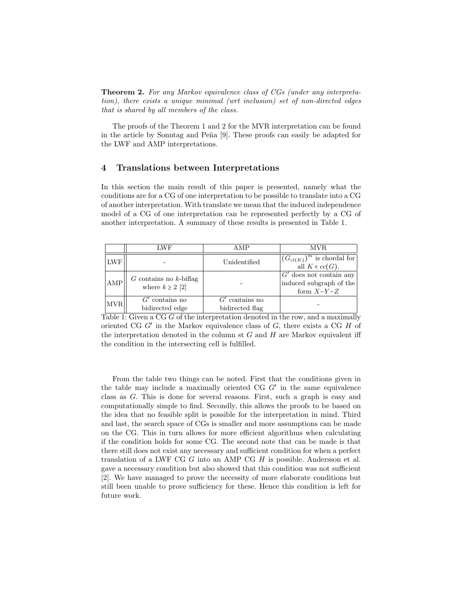Theorem 2. For any Markov equivalence class of CGs (under any interpretation), there exists a unique minimal (wrt inclusion) set of non-directed edges that is shared by all members of the class.

The proofs of the Theorem 1 and 2 for the MVR interpretation can be found in the article by Sonntag and Peña [9]. These proofs can easily be adapted for the LWF and AMP interpretations.

## 4 Translations between Interpretations

In this section the main result of this paper is presented, namely what the conditions are for a CG of one interpretation to be possible to translate into a CG of another interpretation. With translate we mean that the induced independence model of a CG of one interpretation can be represented perfectly by a CG of another interpretation. A summary of these results is presented in Table 1.

|            | LWF                                                 | A MP                                | <b>MVR</b>                                                           |
|------------|-----------------------------------------------------|-------------------------------------|----------------------------------------------------------------------|
| <b>LWF</b> |                                                     | Unidentified                        | $(G_{cl(K)})^m$ is chordal for<br>all $K \in cc(G)$ .                |
| AMP        | $G$ contains no $k$ -biflag<br>where $k \geq 2$ [2] |                                     | $G'$ does not contain any<br>induced subgraph of the<br>form $X-Y-Z$ |
| <b>MVR</b> | $G'$ contains no<br>bidirected edge                 | $G'$ contains no<br>bidirected flag |                                                                      |

Table 1: Given a CG G of the interpretation denoted in the row, and a maximally oriented CG  $G'$  in the Markov equivalence class of  $G$ , there exists a CG  $H$  of the interpretation denoted in the column st  $G$  and  $H$  are Markov equivalent iff the condition in the intersecting cell is fulfilled.

From the table two things can be noted. First that the conditions given in the table may include a maximally oriented CG G′ in the same equivalence class as G. This is done for several reasons. First, such a graph is easy and computationally simple to find. Secondly, this allows the proofs to be based on the idea that no feasible split is possible for the interpretation in mind. Third and last, the search space of CGs is smaller and more assumptions can be made on the CG. This in turn allows for more efficient algorithms when calculating if the condition holds for some CG. The second note that can be made is that there still does not exist any necessary and sufficient condition for when a perfect translation of a LWF CG  $G$  into an AMP CG  $H$  is possible. Andersson et al. gave a necessary condition but also showed that this condition was not sufficient [2]. We have managed to prove the necessity of more elaborate conditions but still been unable to prove sufficiency for these. Hence this condition is left for future work.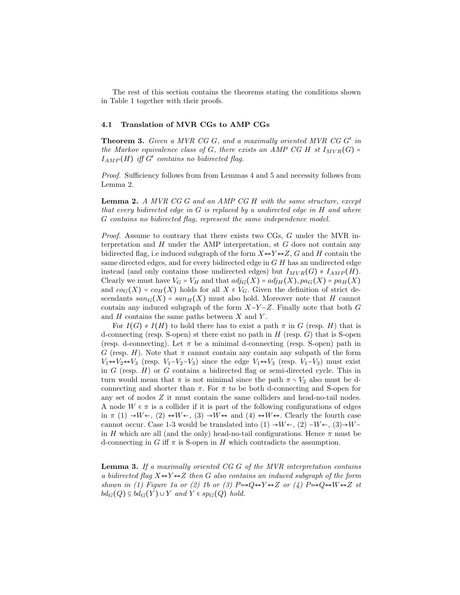The rest of this section contains the theorems stating the conditions shown in Table 1 together with their proofs.

#### 4.1 Translation of MVR CGs to AMP CGs

Theorem 3. Given a MVR CG G, and a maximally oriented MVR CG G' in the Markov equivalence class of G, there exists an AMP CG H st  $I_{MVR}(G)$  =  $I_{AMP}(H)$  iff  $G'$  contains no bidirected flag.

Proof. Sufficiency follows from from Lemmas 4 and 5 and necessity follows from Lemma 2.

Lemma 2. A MVR CG G and an AMP CG H with the same structure, except that every bidirected edge in  $G$  is replaced by a undirected edge in  $H$  and where G contains no bidirected flag, represent the same independence model.

Proof. Assume to contrary that there exists two CGs, G under the MVR interpretation and  $H$  under the AMP interpretation, st  $G$  does not contain any bidirected flag, i.e induced subgraph of the form  $X \leftrightarrow Y \leftrightarrow Z$ , G and H contain the same directed edges, and for every bidirected edge in G H has an undirected edge instead (and only contains those undirected edges) but  $I_{MVR}(G) \neq I_{AMP}(H)$ . Clearly we must have  $V_G = V_H$  and that  $adj_G(X) = adj_H(X), pa_G(X) = pa_H(X)$ and  $co_G(X) = co_H(X)$  holds for all  $X \in V_G$ . Given the definition of strict descendants  $san_G(X) = san_H(X)$  must also hold. Moreover note that H cannot contain any induced subgraph of the form  $X-Y-Z$ . Finally note that both  $G$ and  $H$  contains the same paths between  $X$  and  $Y$ .

For  $I(G) \neq I(H)$  to hold there has to exist a path  $\pi$  in G (resp. H) that is d-connecting (resp. S-open) st there exist no path in  $H$  (resp.  $G$ ) that is S-open (resp. d-connecting). Let  $\pi$  be a minimal d-connecting (resp. S-open) path in G (resp. H). Note that  $\pi$  cannot contain any contain any subpath of the form  $V_1 \leftrightarrow V_2 \leftrightarrow V_3$  (resp.  $V_1 - V_2 - V_3$ ) since the edge  $V_1 \leftrightarrow V_3$  (resp.  $V_1 - V_3$ ) must exist in  $G$  (resp.  $H$ ) or  $G$  contains a bidirected flag or semi-directed cycle. This in turn would mean that  $\pi$  is not minimal since the path  $\pi \setminus V_2$  also must be dconnecting and shorter than  $\pi$ . For  $\pi$  to be both d-connecting and S-open for any set of nodes Z it must contain the same colliders and head-no-tail nodes. A node  $W \in \pi$  is a collider if it is part of the following configurations of edges in  $\pi$  (1)  $\rightarrow W \leftarrow$ , (2)  $\rightarrow W \leftarrow$ , (3)  $\rightarrow W \leftrightarrow$  and (4)  $\rightarrow W \leftrightarrow$ . Clearly the fourth case cannot occur. Case 1-3 would be translated into (1)  $\rightarrow W \leftarrow$ , (2)  $-W \leftarrow$ , (3) $\rightarrow W$ in H which are all (and the only) head-no-tail configurations. Hence  $\pi$  must be d-connecting in G iff  $\pi$  is S-open in H which contradicts the assumption.

**Lemma 3.** If a maximally oriented  $CGG$  of the MVR interpretation contains a bidirected flag  $X \leftrightarrow Y \leftrightarrow Z$  then G also contains an induced subgraph of the form shown in (1) Figure 1a or (2) 1b or (3)  $P \rightarrow Q \rightarrow Y \rightarrow Z$  or (4)  $P \rightarrow Q \rightarrow W \rightarrow Z$  st  $bd_G(Q) \subseteq bd_G(Y) \cup Y$  and  $Y \in sp_G(Q)$  hold.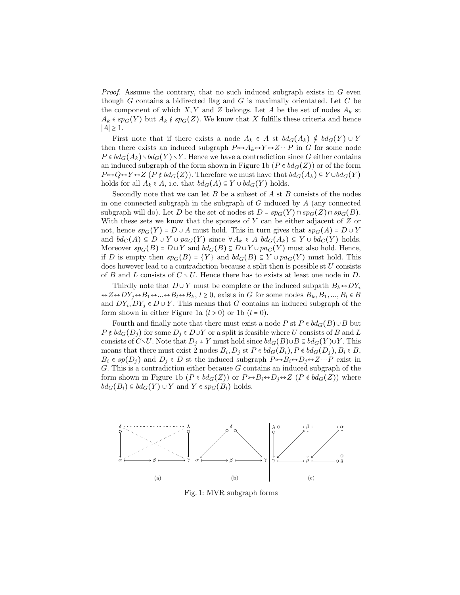*Proof.* Assume the contrary, that no such induced subgraph exists in  $G$  even though  $G$  contains a bidirected flag and  $G$  is maximally orientated. Let  $C$  be the component of which  $X, Y$  and Z belongs. Let A be the set of nodes  $A_k$  st  $A_k \in sp_G(Y)$  but  $A_k \notin sp_G(Z)$ . We know that X fulfills these criteria and hence  $|A|$  ≥ 1.

First note that if there exists a node  $A_k \in A$  st  $bd_G(A_k) \notin bd_G(Y) \cup Y$ then there exists an induced subgraph  $P \rightarrow A_k \rightarrow Y \rightarrow Z \cdots P$  in G for some node  $P \in bd_G(A_k) \setminus bd_G(Y) \setminus Y$ . Hence we have a contradiction since G either contains an induced subgraph of the form shown in Figure 1b ( $P \in bd_G(Z)$ ) or of the form  $P \rightarrow Q \rightarrow Y \rightarrow Z$  ( $P \notin bd_G(Z)$ ). Therefore we must have that  $bd_G(A_k) \subseteq Y \cup bd_G(Y)$ holds for all  $A_k \in A$ , i.e. that  $bd_G(A) \subseteq Y \cup bd_G(Y)$  holds.

Secondly note that we can let  $B$  be a subset of  $A$  st  $B$  consists of the nodes in one connected subgraph in the subgraph of  $G$  induced by  $A$  (any connected subgraph will do). Let D be the set of nodes st  $D = sp_G(Y) \cap sp_G(Z) \cap sp_G(B)$ . With these sets we know that the spouses of Y can be either adjacent of  $Z$  or not, hence  $sp_G(Y) = D \cup A$  must hold. This in turn gives that  $sp_G(A) = D \cup Y$ and  $bd_G(A) \subseteq D \cup Y \cup pa_G(Y)$  since  $\forall A_k \in A$   $bd_G(A_k) \subseteq Y \cup bd_G(Y)$  holds. Moreover  $sp_G(B) = D \cup Y$  and  $bd_G(B) \subseteq D \cup Y \cup pa_G(Y)$  must also hold. Hence, if D is empty then  $sp_G(B) = \{Y\}$  and  $bd_G(B) \subseteq Y \cup pa_G(Y)$  must hold. This does however lead to a contradiction because a split then is possible st  $U$  consists of B and L consists of  $C \setminus U$ . Hence there has to exists at least one node in D.

Thirdly note that  $D \cup Y$  must be complete or the induced subpath  $B_k \leftrightarrow DY_i$  $\leftrightarrow Z \leftrightarrow DY_i \leftrightarrow B_1 \leftrightarrow \ldots \leftrightarrow B_l \leftrightarrow B_k$ ,  $l \geq 0$ , exists in G for some nodes  $B_k, B_1, \ldots, B_l \in B_l$ and  $DY_i, DY_j \in D \cup Y$ . This means that G contains an induced subgraph of the form shown in either Figure 1a  $(l > 0)$  or 1b  $(l = 0)$ .

Fourth and finally note that there must exist a node P st  $P \in bd_G(B) \cup B$  but  $P \notin bd_G(D_i)$  for some  $D_i \in D \cup Y$  or a split is feasible where U consists of B and L consists of  $C\setminus U$ . Note that  $D_j \neq Y$  must hold since  $bd_G(B)\cup B \subseteq bd_G(Y)\cup Y$ . This means that there must exist 2 nodes  $B_i, D_j$  st  $P \in bd_G(B_i)$ ,  $P \notin bd_G(D_j)$ ,  $B_i \in B$ ,  $B_i \in sp(D_j)$  and  $D_j \in D$  st the induced subgraph  $P \rightarrow B_i \rightarrow D_j \rightarrow Z^{n}P$  exist in  $G$ . This is a contradiction either because  $G$  contains an induced subgraph of the form shown in Figure 1b ( $P \in bd_G(Z)$ ) or  $P \rightarrow B_i \rightarrow D_j \rightarrow Z$  ( $P \notin bd_G(Z)$ ) where  $bd_G(B_i) \subseteq bd_G(Y) \cup Y$  and  $Y \in sp_G(B_i)$  holds.



Fig. 1: MVR subgraph forms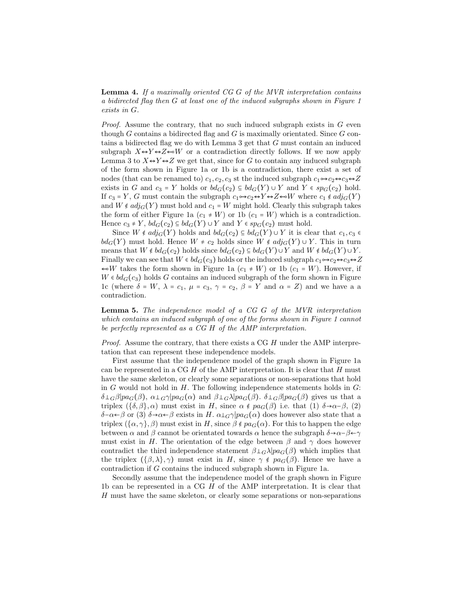**Lemma 4.** If a maximally oriented  $CGG$  of the MVR interpretation contains a bidirected flag then G at least one of the induced subgraphs shown in Figure 1 exists in G.

*Proof.* Assume the contrary, that no such induced subgraph exists in  $G$  even though G contains a bidirected flag and G is maximally orientated. Since  $G$  contains a bidirected flag we do with Lemma 3 get that G must contain an induced subgraph  $X \leftrightarrow Y \leftrightarrow Z \leftrightarrow W$  or a contradiction directly follows. If we now apply Lemma 3 to  $X \leftrightarrow Y \leftrightarrow Z$  we get that, since for G to contain any induced subgraph of the form shown in Figure 1a or 1b is a contradiction, there exist a set of nodes (that can be renamed to)  $c_1, c_2, c_3$  st the induced subgraph  $c_1 \rightarrow c_2 \rightarrow c_3 \rightarrow Z$ exists in G and  $c_3 = Y$  holds or  $bd_G(c_2) \subseteq bd_G(Y) \cup Y$  and  $Y \in sp_G(c_2)$  hold. If  $c_3 = Y$ , G must contain the subgraph  $c_1 \rightarrow c_2 \leftrightarrow Y \leftrightarrow Z \leftarrow W$  where  $c_1 \notin adj_G(Y)$ and  $W \notin adj_G(Y)$  must hold and  $c_1 = W$  might hold. Clearly this subgraph takes the form of either Figure 1a  $(c_1 \neq W)$  or 1b  $(c_1 = W)$  which is a contradiction. Hence  $c_3 \neq Y$ ,  $bd_G(c_2) \subseteq bd_G(Y) \cup Y$  and  $Y \in sp_G(c_2)$  must hold.

Since  $W \notin adj_G(Y)$  holds and  $bd_G(c_2) \subseteq bd_G(Y) \cup Y$  it is clear that  $c_1, c_3 \in$  $bd_G(Y)$  must hold. Hence  $W \neq c_2$  holds since  $W \notin adj_G(Y) \cup Y$ . This in turn means that  $W \notin bd_G(c_2)$  holds since  $bd_G(c_2) \subseteq bd_G(Y) \cup Y$  and  $W \notin bd_G(Y) \cup Y$ . Finally we can see that  $W \in bd_G(c_3)$  holds or the induced subgraph  $c_1 \rightarrow c_2 \rightarrow c_3 \rightarrow Z$  $\leftarrow W$  takes the form shown in Figure 1a  $(c_1 \neq W)$  or 1b  $(c_1 = W)$ . However, if  $W \in bd_G(c_3)$  holds G contains an induced subgraph of the form shown in Figure 1c (where  $\delta$  = W,  $\lambda$  =  $c_1$ ,  $\mu$  =  $c_3$ ,  $\gamma$  =  $c_2$ ,  $\beta$  = Y and  $\alpha$  = Z) and we have a a contradiction.

Lemma 5. The independence model of a CG G of the MVR interpretation which contains an induced subgraph of one of the forms shown in Figure 1 cannot be perfectly represented as a CG H of the AMP interpretation.

Proof. Assume the contrary, that there exists a CG H under the AMP interpretation that can represent these independence models.

First assume that the independence model of the graph shown in Figure 1a can be represented in a CG  $H$  of the AMP interpretation. It is clear that  $H$  must have the same skeleton, or clearly some separations or non-separations that hold in  $G$  would not hold in  $H$ . The following independence statements holds in  $G$ :  $\delta\bot_G\beta|pa_G(\beta), \alpha\bot_G\gamma|pa_G(\alpha)$  and  $\beta\bot_G\lambda|pa_G(\beta). \delta\bot_G\beta|pa_G(\beta)$  gives us that a triplex  $({\delta, \beta}, \alpha)$  must exist in H, since  $\alpha \notin pa_G(\beta)$  i.e. that (1)  $\delta \rightarrow \alpha-\beta$ , (2)  $\delta$ - $\alpha$ ←β or (3)  $\delta$ → $\alpha$ ←β exists in H.  $\alpha$ <sub>LG</sub> $\gamma$ | $pa_G(\alpha)$  does however also state that a triplex  $({\alpha, \gamma}, \beta)$  must exist in H, since  $\beta \notin pa_G(\alpha)$ . For this to happen the edge between  $\alpha$  and  $\beta$  cannot be orientated towards  $\alpha$  hence the subgraph  $\delta \rightarrow \alpha-\beta \leftarrow \gamma$ must exist in H. The orientation of the edge between  $\beta$  and  $\gamma$  does however contradict the third independence statement  $\beta \perp_G \lambda | pa_G(\beta)$  which implies that the triplex  $(\{\beta,\lambda\},\gamma)$  must exist in H, since  $\gamma \notin pa_G(\beta)$ . Hence we have a contradiction if G contains the induced subgraph shown in Figure 1a.

Secondly assume that the independence model of the graph shown in Figure 1b can be represented in a CG H of the AMP interpretation. It is clear that H must have the same skeleton, or clearly some separations or non-separations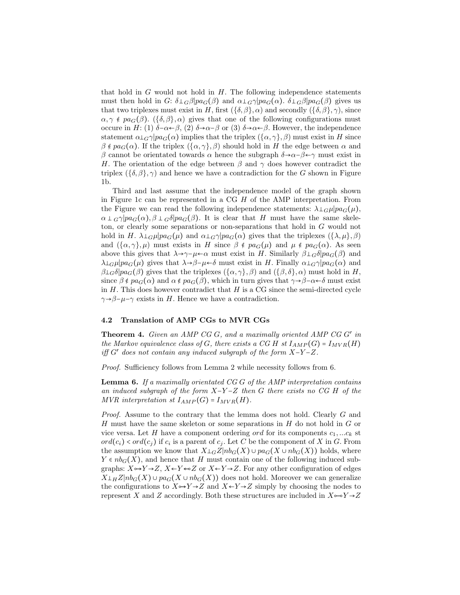that hold in  $G$  would not hold in  $H$ . The following independence statements must then hold in G:  $\delta \perp_G \beta | pa_G(\beta)$  and  $\alpha \perp_G \gamma | pa_G(\alpha)$ .  $\delta \perp_G \beta | pa_G(\beta)$  gives us that two triplexes must exist in H, first  $({\delta, \beta}, \alpha)$  and secondly  $({\delta, \beta}, \gamma)$ , since  $\alpha, \gamma \notin pa_G(\beta)$ .  $(\{\delta, \beta\}, \alpha)$  gives that one of the following configurations must occure in H: (1) δ−α←β, (2) δ→α−β or (3) δ→α←β. However, the independence statement  $\alpha\perp$ <sub>G</sub> $\gamma|pa_G(\alpha)$  implies that the triplex  $(\{\alpha,\gamma\},\beta)$  must exist in H since  $\beta \notin pa_G(\alpha)$ . If the triplex  $(\{\alpha, \gamma\}, \beta)$  should hold in H the edge between  $\alpha$  and β cannot be orientated towards  $\alpha$  hence the subgraph  $\delta \rightarrow \alpha - \beta \leftarrow \gamma$  must exist in H. The orientation of the edge between  $\beta$  and  $\gamma$  does however contradict the triplex  $({\delta, \beta}, \gamma)$  and hence we have a contradiction for the G shown in Figure 1b.

Third and last assume that the independence model of the graph shown in Figure 1c can be represented in a CG  $H$  of the AMP interpretation. From the Figure we can read the following independence statements:  $\lambda \perp_G \mu | pa_G(\mu),$  $\alpha \perp G\gamma$ | $pa_G(\alpha), \beta \perp G\delta$ | $pa_G(\beta)$ . It is clear that H must have the same skeleton, or clearly some separations or non-separations that hold in G would not hold in H.  $\lambda \perp_G \mu | pa_G(\mu)$  and  $\alpha \perp_G \gamma | pa_G(\alpha)$  gives that the triplexes  $({\lambda, \mu}, {\beta})$ and  $({\alpha, \gamma}, \mu)$  must exists in H since  $\beta \notin pa_G(\mu)$  and  $\mu \notin pa_G(\alpha)$ . As seen above this gives that  $\lambda \to \gamma-\mu \leftarrow \alpha$  must exist in H. Similarly  $\beta \perp_G \delta | pa_G(\beta)$  and  $\lambda\perp_G\mu|pa_G(\mu)$  gives that  $\lambda\to\beta-\mu\to\delta$  must exist in H. Finally  $\alpha\perp_G\gamma|pa_G(\alpha)$  and  $\beta\perp_G \delta|pa_G(\beta)$  gives that the triplexes  $(\{\alpha,\gamma\},\beta)$  and  $(\{\beta,\delta\},\alpha)$  must hold in H, since  $\beta \notin pa_G(\alpha)$  and  $\alpha \notin pa_G(\beta)$ , which in turn gives that  $\gamma \rightarrow \beta - \alpha \leftarrow \delta$  must exist in  $H$ . This does however contradict that  $H$  is a CG since the semi-directed cycle  $\gamma \rightarrow \beta - \mu - \gamma$  exists in H. Hence we have a contradiction.

#### 4.2 Translation of AMP CGs to MVR CGs

**Theorem 4.** Given an AMP CG  $G$ , and a maximally oriented AMP CG  $G'$  in the Markov equivalence class of G, there exists a CG H st  $I_{AMP}(G) = I_{MVR}(H)$ iff  $G'$  does not contain any induced subgraph of the form  $X-Y-Z$ .

Proof. Sufficiency follows from Lemma 2 while necessity follows from 6.

**Lemma 6.** If a maximally orientated  $CGG$  of the AMP interpretation contains an induced subgraph of the form  $X-Y-Z$  then G there exists no CG H of the MVR interpretation st  $I_{AMP}(G) = I_{MVR}(H)$ .

Proof. Assume to the contrary that the lemma does not hold. Clearly G and H must have the same skeleton or some separations in  $H$  do not hold in  $G$  or vice versa. Let H have a component ordering ord for its components  $c_1, ... c_k$  st  $ord(c_i) < ord(c_j)$  if  $c_i$  is a parent of  $c_j$ . Let C be the component of X in G. From the assumption we know that  $X\bot_{G}Z|nb_{G}(X) \cup pa_{G}(X\cup nb_{G}(X))$  holds, where  $Y \in nb_G(X)$ , and hence that H must contain one of the following induced subgraphs:  $X \rightarrow Y \rightarrow Z$ ,  $X \leftarrow Y \leftarrow Z$  or  $X \leftarrow Y \rightarrow Z$ . For any other configuration of edges  $X\perp_H Z|nb_G(X) \cup pa_G(X \cup nb_G(X))$  does not hold. Moreover we can generalize the configurations to  $X \rightarrow Y \rightarrow Z$  and  $X \leftarrow Y \rightarrow Z$  simply by choosing the nodes to represent X and Z accordingly. Both these structures are included in  $X \rightarrow Y \rightarrow Z$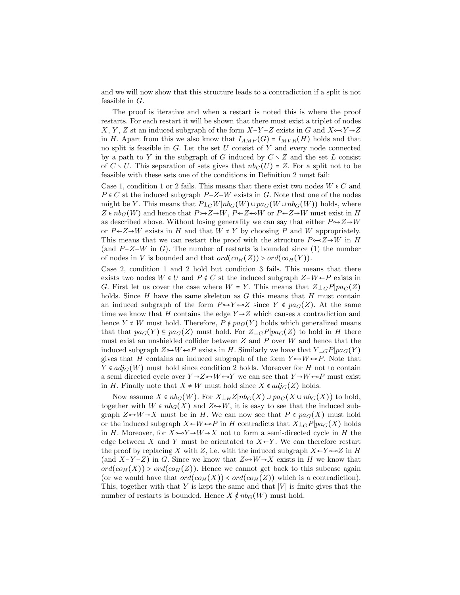and we will now show that this structure leads to a contradiction if a split is not feasible in  $G$ .

The proof is iterative and when a restart is noted this is where the proof restarts. For each restart it will be shown that there must exist a triplet of nodes X, Y, Z st an induced subgraph of the form  $X-Y-Z$  exists in G and  $X \rightarrow Y \rightarrow Z$ in H. Apart from this we also know that  $I_{AMP}(G) = I_{MVR}(H)$  holds and that no split is feasible in  $G$ . Let the set  $U$  consist of  $Y$  and every node connected by a path to Y in the subgraph of G induced by  $C \setminus Z$  and the set L consist of  $C \setminus U$ . This separation of sets gives that  $nb_G(U) = Z$ . For a split not to be feasible with these sets one of the conditions in Definition 2 must fail:

Case 1, condition 1 or 2 fails. This means that there exist two nodes  $W \in C$  and  $P \in C$  st the induced subgraph  $P-Z-W$  exists in G. Note that one of the nodes might be Y. This means that  $P\mathcal{L}_G W|nb_G(W) \cup pa_G(W \cup nb_G(W))$  holds, where  $Z \in nb_G(W)$  and hence that  $P \rightarrow Z \rightarrow W$ ,  $P \leftarrow Z \leftarrow W$  or  $P \leftarrow Z \rightarrow W$  must exist in H as described above. Without losing generality we can say that either  $P \rightarrow Z \rightarrow W$ or  $P \leftarrow Z \rightarrow W$  exists in H and that  $W \neq Y$  by choosing P and W appropriately. This means that we can restart the proof with the structure  $P \sim Z \rightarrow W$  in H (and  $P-Z-W$  in G). The number of restarts is bounded since (1) the number of nodes in V is bounded and that  $ord(cof(H(Z)) > ord(cof(H(Y)))$ .

Case 2, condition 1 and 2 hold but condition 3 fails. This means that there exists two nodes  $W \in U$  and  $P \notin C$  st the induced subgraph  $Z-W \leftarrow P$  exists in G. First let us cover the case where  $W = Y$ . This means that  $Z \perp_G P|pa_G(Z)$ holds. Since  $H$  have the same skeleton as  $G$  this means that  $H$  must contain an induced subgraph of the form  $P \rightarrow Y \leftarrow Z$  since  $Y \notin pa_G(Z)$ . At the same time we know that H contains the edge  $Y \rightarrow Z$  which causes a contradiction and hence  $Y \neq W$  must hold. Therefore,  $P \notin pa_G(Y)$  holds which generalized means that that  $pa_G(Y) \subseteq pa_G(Z)$  must hold. For  $Z\bot G P|pa_G(Z)$  to hold in H there must exist an unshielded collider between  $Z$  and  $P$  over  $W$  and hence that the induced subgraph  $Z \rightarrow W \leftarrow P$  exists in H. Similarly we have that  $Y \perp_G P | pa_G(Y)$ gives that H contains an induced subgraph of the form  $Y \rightarrow W \leftarrow P$ . Note that  $Y \in adj_G(W)$  must hold since condition 2 holds. Moreover for H not to contain a semi directed cycle over  $Y \rightarrow Z \rightarrow W \leftarrow Y$  we can see that  $Y \rightarrow W \leftarrow P$  must exist in H. Finally note that  $X \neq W$  must hold since  $X \notin adj_G(Z)$  holds.

Now assume  $X \in nb_G(W)$ . For  $X \perp_H Z | nb_G(X) \cup pa_G(X \cup nb_G(X))$  to hold, together with  $W \in nb_G(X)$  and  $Z \rightarrow W$ , it is easy to see that the induced subgraph  $Z \rightarrow W \rightarrow X$  must be in H. We can now see that  $P \in pa_G(X)$  must hold or the induced subgraph  $X \leftarrow W \leftarrow P$  in H contradicts that  $X \perp_G P | pa_G(X)$  holds in H. Moreover, for  $X \rightarrow Y \rightarrow W \rightarrow X$  not to form a semi-directed cycle in H the edge between X and Y must be orientated to  $X \leftarrow Y$ . We can therefore restart the proof by replacing X with Z, i.e. with the induced subgraph  $X \leftarrow Y \rightarrow Z$  in H (and  $X-Y-Z$ ) in G. Since we know that  $Z \rightarrow W \rightarrow X$  exists in H we know that  $ord(cof(X))$  >  $ord(cof(X))$ . Hence we cannot get back to this subcase again (or we would have that  $ord(co_H(X)) < ord(co_H(Z))$ ) which is a contradiction. This, together with that Y is kept the same and that  $|V|$  is finite gives that the number of restarts is bounded. Hence  $X \notin nb_G(W)$  must hold.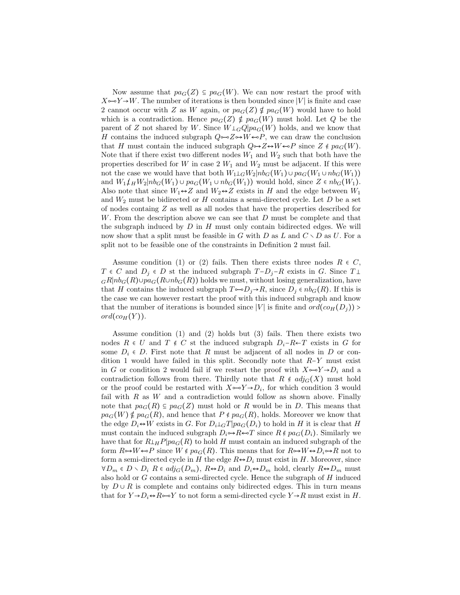Now assume that  $pa_G(Z) \subseteq pa_G(W)$ . We can now restart the proof with  $X \rightarrow Y \rightarrow W$ . The number of iterations is then bounded since |V| is finite and case 2 cannot occur with Z as W again, or  $pa_G(Z) \notin pa_G(W)$  would have to hold which is a contradiction. Hence  $pa_G(Z) \notin pa_G(W)$  must hold. Let Q be the parent of Z not shared by W. Since  $W\bot_GQ|pa_G(W)$  holds, and we know that H contains the induced subgraph  $Q \rightarrow Z \rightarrow W \rightarrow P$ , we can draw the conclusion that H must contain the induced subgraph  $Q \rightarrow Z \rightarrow W \rightarrow P$  since  $Z \notin pa_G(W)$ . Note that if there exist two different nodes  $W_1$  and  $W_2$  such that both have the properties described for W in case 2  $W_1$  and  $W_2$  must be adjacent. If this were not the case we would have that both  $W_1 \perp_G W_2 | nb_G(W_1) \cup pa_G(W_1 \cup nb_G(W_1))$ and  $W_1\mu_W2|nb_G(W_1)\cup pa_G(W_1\cup nb_G(W_1))$  would hold, since  $Z \in nb_G(W_1)$ . Also note that since  $W_1 \leftrightarrow Z$  and  $W_2 \leftrightarrow Z$  exists in H and the edge between  $W_1$ and  $W_2$  must be bidirected or H contains a semi-directed cycle. Let D be a set of nodes containg Z as well as all nodes that have the properties described for W. From the description above we can see that D must be complete and that the subgraph induced by  $D$  in  $H$  must only contain bidirected edges. We will now show that a split must be feasible in G with D as L and  $C \setminus D$  as U. For a split not to be feasible one of the constraints in Definition 2 must fail.

Assume condition (1) or (2) fails. Then there exists three nodes  $R \in C$ ,  $T \in C$  and  $D_j \in D$  st the induced subgraph  $T-D_j-R$  exists in G. Since  $T\perp$  $_{G}R|nb_{G}(R)\cup pa_{G}(R\cup nb_{G}(R))$  holds we must, without losing generalization, have that H contains the induced subgraph  $T \rightarrow D_i \rightarrow R$ , since  $D_i \in nb_G(R)$ . If this is the case we can however restart the proof with this induced subgraph and know that the number of iterations is bounded since |V| is finite and  $ord(c_{H}(D_j))$  >  $ord(co_H(Y)).$ 

Assume condition (1) and (2) holds but (3) fails. Then there exists two nodes  $R \in U$  and  $T \notin C$  st the induced subgraph  $D_i-R \leftarrow T$  exists in G for some  $D_i \in D$ . First note that R must be adjacent of all nodes in D or condition 1 would have failed in this split. Secondly note that  $R-Y$  must exist in G or condition 2 would fail if we restart the proof with  $X \rightarrow Y \rightarrow D_i$  and a contradiction follows from there. Thirdly note that  $R \notin adj_G(X)$  must hold or the proof could be restarted with  $X \rightarrow Y \rightarrow D_i$ , for which condition 3 would fail with  $R$  as  $W$  and a contradiction would follow as shown above. Finally note that  $pa_G(R) \subseteq pa_G(Z)$  must hold or R would be in D. This means that  $pa_G(W) \notin pa_G(R)$ , and hence that  $P \notin pa_G(R)$ , holds. Moreover we know that the edge  $D_i \leftrightarrow W$  exists in G. For  $D_i \perp_G T | pa_G(D_i)$  to hold in H it is clear that H must contain the induced subgraph  $D_i \rightarrow R \rightarrow T$  since  $R \notin pa_G(D_i)$ . Similarly we have that for  $R\perp H\!\!\!\perp_H P|pa_G(R)$  to hold H must contain an induced subgraph of the form  $R \rightarrow W \leftarrow P$  since  $W \notin pa_G(R)$ . This means that for  $R \rightarrow W \leftrightarrow D_i \rightarrow R$  not to form a semi-directed cycle in H the edge  $R \leftrightarrow D_i$  must exist in H. Moreover, since  $\forall D_m \in D \setminus D_i$  R  $\in adj_G(D_m)$ ,  $R \leftrightarrow D_i$  and  $D_i \leftrightarrow D_m$  hold, clearly  $R \leftrightarrow D_m$  must also hold or  $G$  contains a semi-directed cycle. Hence the subgraph of  $H$  induced by  $D \cup R$  is complete and contains only bidirected edges. This in turn means that for  $Y \rightarrow D_i \rightarrow R \rightarrow Y$  to not form a semi-directed cycle  $Y \rightarrow R$  must exist in H.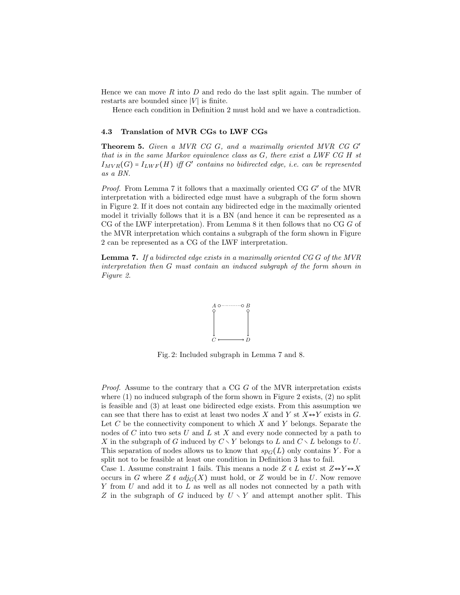Hence we can move R into D and redo do the last split again. The number of restarts are bounded since  $|V|$  is finite.

Hence each condition in Definition 2 must hold and we have a contradiction.

#### 4.3 Translation of MVR CGs to LWF CGs

Theorem 5. Given a MVR CG G, and a maximally oriented MVR CG G′ that is in the same Markov equivalence class as G, there exist a LWF CG H st  $I_{MVR}(G) = I_{LWF}(H)$  iff G' contains no bidirected edge, i.e. can be represented as a BN.

Proof. From Lemma 7 it follows that a maximally oriented CG G' of the MVR interpretation with a bidirected edge must have a subgraph of the form shown in Figure 2. If it does not contain any bidirected edge in the maximally oriented model it trivially follows that it is a BN (and hence it can be represented as a CG of the LWF interpretation). From Lemma 8 it then follows that no CG G of the MVR interpretation which contains a subgraph of the form shown in Figure 2 can be represented as a CG of the LWF interpretation.

**Lemma 7.** If a bidirected edge exists in a maximally oriented  $CGG$  of the  $MVR$ interpretation then G must contain an induced subgraph of the form shown in Figure 2.



Fig. 2: Included subgraph in Lemma 7 and 8.

Proof. Assume to the contrary that a CG G of the MVR interpretation exists where (1) no induced subgraph of the form shown in Figure 2 exists, (2) no split is feasible and (3) at least one bidirected edge exists. From this assumption we can see that there has to exist at least two nodes X and Y st  $X \leftrightarrow Y$  exists in G. Let  $C$  be the connectivity component to which  $X$  and  $Y$  belongs. Separate the nodes of  $C$  into two sets  $U$  and  $L$  st  $X$  and every node connected by a path to X in the subgraph of G induced by  $C \setminus Y$  belongs to L and  $C \setminus L$  belongs to U. This separation of nodes allows us to know that  $sp_G(L)$  only contains Y. For a split not to be feasible at least one condition in Definition 3 has to fail. Case 1. Assume constraint 1 fails. This means a node  $Z \in L$  exist st  $Z \leftrightarrow Y \leftrightarrow X$ 

occurs in G where  $Z \notin adj_G(X)$  must hold, or Z would be in U. Now remove  $Y$  from  $U$  and add it to  $L$  as well as all nodes not connected by a path with Z in the subgraph of G induced by  $U \setminus Y$  and attempt another split. This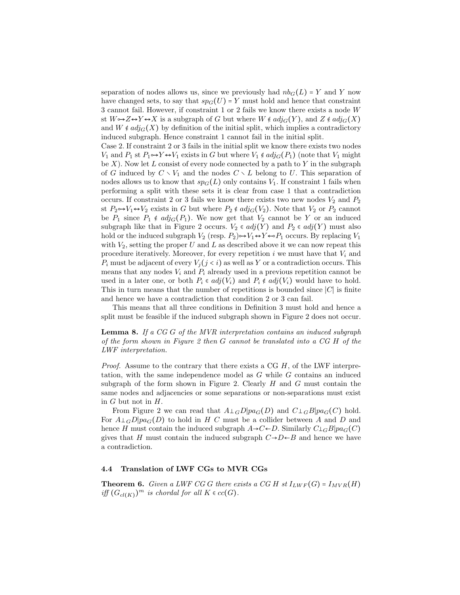separation of nodes allows us, since we previously had  $nb_G(L) = Y$  and Y now have changed sets, to say that  $sp_G(U) = Y$  must hold and hence that constraint 3 cannot fail. However, if constraint 1 or 2 fails we know there exists a node W st  $W \rightarrow Z \rightarrow Y \rightarrow X$  is a subgraph of G but where  $W \notin adj_G(Y)$ , and  $Z \notin adj_G(X)$ and  $W \notin adj_G(X)$  by definition of the initial split, which implies a contradictory induced subgraph. Hence constraint 1 cannot fail in the initial split.

Case 2. If constraint 2 or 3 fails in the initial split we know there exists two nodes  $V_1$  and  $P_1$  st  $P_1 \rightarrow Y \rightarrow V_1$  exists in G but where  $V_1 \notin adj_G(P_1)$  (note that  $V_1$  might be  $X$ ). Now let L consist of every node connected by a path to Y in the subgraph of G induced by  $C \setminus V_1$  and the nodes  $C \setminus L$  belong to U. This separation of nodes allows us to know that  $sp_G(L)$  only contains  $V_1$ . If constraint 1 fails when performing a split with these sets it is clear from case 1 that a contradiction occurs. If constraint 2 or 3 fails we know there exists two new nodes  $V_2$  and  $P_2$ st  $P_2 \rightarrow V_1 \rightarrow V_2$  exists in G but where  $P_2 \notin adj_G(V_2)$ . Note that  $V_2$  or  $P_2$  cannot be  $P_1$  since  $P_1 \notin adj_G(P_1)$ . We now get that  $V_2$  cannot be Y or an induced subgraph like that in Figure 2 occurs.  $V_2 \in adj(Y)$  and  $P_2 \in adj(Y)$  must also hold or the induced subgraph  $V_2$  (resp.  $P_2$ ) $\rightarrow$  $V_1 \leftrightarrow Y \leftarrow P_1$  occurs. By replacing  $V_1$ with  $V_2$ , setting the proper U and L as described above it we can now repeat this procedure iteratively. Moreover, for every repetition  $i$  we must have that  $V_i$  and  $P_i$  must be adjacent of every  $V_i (j \lt i)$  as well as Y or a contradiction occurs. This means that any nodes  $V_i$  and  $P_i$  already used in a previous repetition cannot be used in a later one, or both  $P_i \in adj(V_i)$  and  $P_i \notin adj(V_i)$  would have to hold. This in turn means that the number of repetitions is bounded since  $|C|$  is finite and hence we have a contradiction that condition 2 or 3 can fail.

This means that all three conditions in Definition 3 must hold and hence a split must be feasible if the induced subgraph shown in Figure 2 does not occur.

**Lemma 8.** If a CG G of the MVR interpretation contains an induced subgraph of the form shown in Figure 2 then G cannot be translated into a CG H of the LWF interpretation.

*Proof.* Assume to the contrary that there exists a CG  $H$ , of the LWF interpretation, with the same independence model as G while G contains an induced subgraph of the form shown in Figure 2. Clearly  $H$  and  $G$  must contain the same nodes and adjacencies or some separations or non-separations must exist in  $G$  but not in  $H$ .

From Figure 2 we can read that  $A\bot GD|pa_G(D)$  and  $C\bot GB|pa_G(C)$  hold. For  $A\perp_G D|pa_G(D)$  to hold in H C must be a collider between A and D and hence H must contain the induced subgraph  $A \rightarrow C \leftarrow D$ . Similarly  $C \perp_G B | pa_G(C)$ gives that H must contain the induced subgraph  $C\rightarrow D\leftarrow B$  and hence we have a contradiction.

## 4.4 Translation of LWF CGs to MVR CGs

**Theorem 6.** Given a LWF CG G there exists a CG H st  $I_{LWF}(G) = I_{MVR}(H)$ iff  $(G_{cl(K)})^m$  is chordal for all  $K \in cc(G)$ .